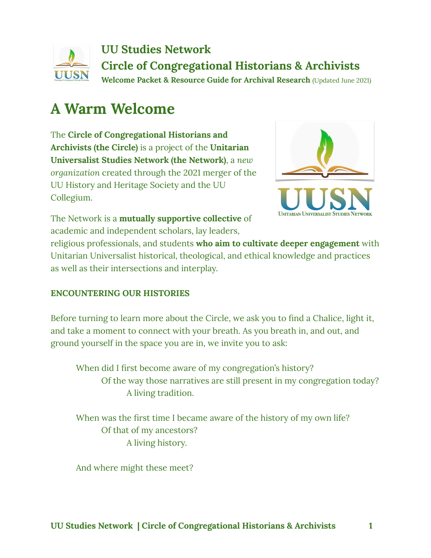

# **A Warm Welcome**

The **Circle of Congregational Historians and Archivists (the Circle)** is a project of the **Unitarian Universalist Studies Network (the Network)**, a *new organization* created through the 2021 merger of the UU History and Heritage Society and the UU Collegium.



The Network is a **mutually supportive collective** of academic and independent scholars, lay leaders,

religious professionals, and students **who aim to cultivate deeper engagement** with Unitarian Universalist historical, theological, and ethical knowledge and practices as well as their intersections and interplay.

### **ENCOUNTERING OUR HISTORIES**

Before turning to learn more about the Circle, we ask you to find a Chalice, light it, and take a moment to connect with your breath. As you breath in, and out, and ground yourself in the space you are in, we invite you to ask:

When did I first become aware of my congregation's history? Of the way those narratives are still present in my congregation today? A living tradition.

When was the first time I became aware of the history of my own life? Of that of my ancestors? A living history.

And where might these meet?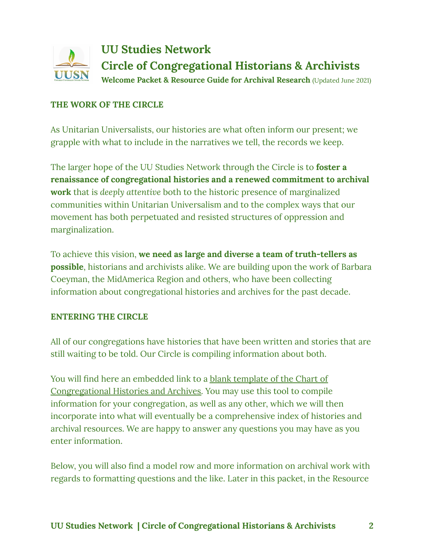

### **THE WORK OF THE CIRCLE**

As Unitarian Universalists, our histories are what often inform our present; we grapple with what to include in the narratives we tell, the records we keep.

The larger hope of the UU Studies Network through the Circle is to **foster a renaissance of congregational histories and a renewed commitment to archival work** that is *deeply attentive* both to the historic presence of marginalized communities within Unitarian Universalism and to the complex ways that our movement has both perpetuated and resisted structures of oppression and marginalization.

To achieve this vision, **we need as large and diverse a team of truth-tellers as possible**, historians and archivists alike. We are building upon the work of Barbara Coeyman, the MidAmerica Region and others, who have been collecting information about congregational histories and archives for the past decade.

### **ENTERING THE CIRCLE**

All of our congregations have histories that have been written and stories that are still waiting to be told. Our Circle is compiling information about both.

You will find here an embedded link to a **blank [template](https://drive.google.com/file/d/19VMZT8OvJGBnbzE_qgi4Z4h8DoWMNZfR/view?usp=sharing) of the Chart of** [Congregational](https://drive.google.com/file/d/19VMZT8OvJGBnbzE_qgi4Z4h8DoWMNZfR/view?usp=sharing) Histories and Archives. You may use this tool to compile information for your congregation, as well as any other, which we will then incorporate into what will eventually be a comprehensive index of histories and archival resources. We are happy to answer any questions you may have as you enter information.

Below, you will also find a model row and more information on archival work with regards to formatting questions and the like. Later in this packet, in the Resource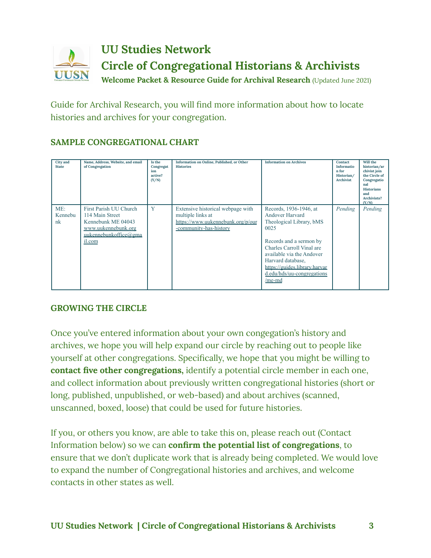

Guide for Archival Research, you will find more information about how to locate histories and archives for your congregation.

### **SAMPLE CONGREGATIONAL CHART**

| <b>City</b> and<br><b>State</b> | Name, Address, Website, and email<br>of Congregation                                                                      | Is the<br>Congregat<br>ion<br>active?<br>(Y/N) | Information on Online, Published, or Other<br><b>Histories</b>                                                        | <b>Information on Archives</b>                                                                                                                                                                                                                                   | Contact<br>Informatio<br>n for<br>Historian/<br><b>Archivist</b> | Will the<br>historian/ar<br>chivist join<br>the Circle of<br>Congregatio<br>nal<br><b>Historians</b><br>and<br>Archivists?<br>(Y/N) |
|---------------------------------|---------------------------------------------------------------------------------------------------------------------------|------------------------------------------------|-----------------------------------------------------------------------------------------------------------------------|------------------------------------------------------------------------------------------------------------------------------------------------------------------------------------------------------------------------------------------------------------------|------------------------------------------------------------------|-------------------------------------------------------------------------------------------------------------------------------------|
| ME:<br>Kennebu<br>nk            | First Parish UU Church<br>114 Main Street<br>Kennebunk ME 04043<br>www.uukennebunk.org<br>uukennebunkoffice@gma<br>il.com | Y                                              | Extensive historical webpage with<br>multiple links at<br>https://www.uukennebunk.org/p/our<br>-community-has-history | Records, 1936-1946, at<br>Andover Harvard<br>Theological Library, bMS<br>0025<br>Records and a sermon by<br>Charles Carroll Vinal are<br>available via the Andover<br>Harvard database,<br>https://guides.library.harvar<br>d.edu/hds/uu-congregations<br>/me-md | Pending                                                          | Pending                                                                                                                             |

### **GROWING THE CIRCLE**

Once you've entered information about your own congegation's history and archives, we hope you will help expand our circle by reaching out to people like yourself at other congregations. Specifically, we hope that you might be willing to **contact five other congregations,** identify a potential circle member in each one, and collect information about previously written congregational histories (short or long, published, unpublished, or web-based) and about archives (scanned, unscanned, boxed, loose) that could be used for future histories.

If you, or others you know, are able to take this on, please reach out (Contact Information below) so we can **confirm the potential list of congregations**, to ensure that we don't duplicate work that is already being completed. We would love to expand the number of Congregational histories and archives, and welcome contacts in other states as well.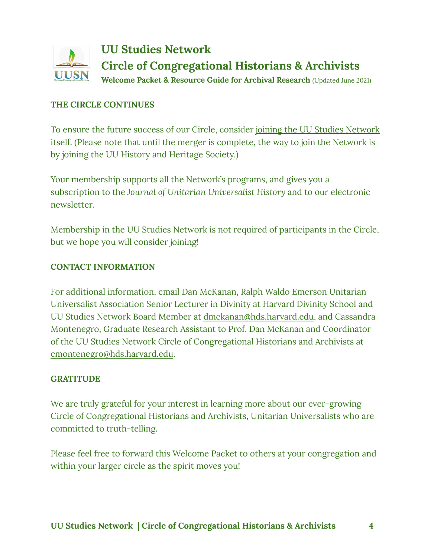

### **THE CIRCLE CONTINUES**

To ensure the future success of our Circle, consider joining the UU Studies [Network](https://uuhhs.org/join/) itself. (Please note that until the merger is complete, the way to join the Network is by joining the UU History and Heritage Society.)

Your membership supports all the Network's programs, and gives you a subscription to the *Journal of Unitarian Universalist History* and to our electronic newsletter.

Membership in the UU Studies Network is not required of participants in the Circle, but we hope you will consider joining!

### **CONTACT INFORMATION**

For additional information, email Dan McKanan, Ralph Waldo Emerson Unitarian Universalist Association Senior Lecturer in Divinity at Harvard Divinity School and UU Studies Network Board Member at [dmckanan@hds.harvard.edu](mailto:dmckanan@hds.harvard.edu), and Cassandra Montenegro, Graduate Research Assistant to Prof. Dan McKanan and Coordinator of the UU Studies Network Circle of Congregational Historians and Archivists at [cmontenegro@hds.harvard.edu](mailto:cmontenegro@hds.harvard.edu).

### **GRATITUDE**

We are truly grateful for your interest in learning more about our ever-growing Circle of Congregational Historians and Archivists, Unitarian Universalists who are committed to truth-telling.

Please feel free to forward this Welcome Packet to others at your congregation and within your larger circle as the spirit moves you!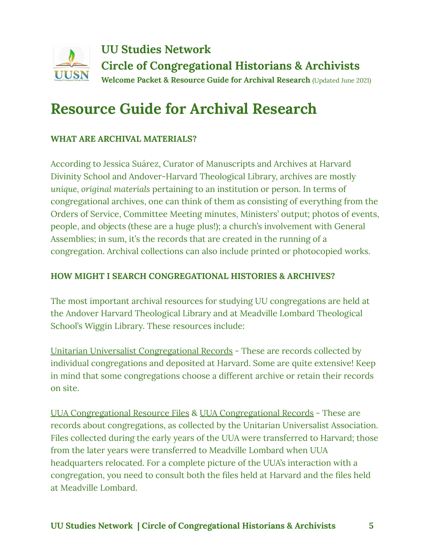

# **Resource Guide for Archival Research**

## **WHAT ARE ARCHIVAL MATERIALS?**

According to Jessica Suárez, Curator of Manuscripts and Archives at Harvard Divinity School and Andover-Harvard Theological Library, archives are mostly *unique, original materials* pertaining to an institution or person. In terms of congregational archives, one can think of them as consisting of everything from the Orders of Service, Committee Meeting minutes, Ministers' output; photos of events, people, and objects (these are a huge plus!); a church's involvement with General Assemblies; in sum, it's the records that are created in the running of a congregation. Archival collections can also include printed or photocopied works.

### **HOW MIGHT I SEARCH CONGREGATIONAL HISTORIES & ARCHIVES?**

The most important archival resources for studying UU congregations are held at the Andover Harvard Theological Library and at Meadville Lombard Theological School's Wiggin Library. These resources include:

Unitarian Universalist [Congregational](https://library.hds.harvard.edu/faq/unitarian-universalist-congregational-records) Records - These are records collected by individual congregations and deposited at Harvard. Some are quite extensive! Keep in mind that some congregations choose a different archive or retain their records on site.

UUA [Congregational](https://hollisarchives.lib.harvard.edu/repositories/12/resources/1110) Resource Files & UUA [Congregational](https://meadville.libguides.com/archives/congregationalrecords) Records - These are records about congregations, as collected by the Unitarian Universalist Association. Files collected during the early years of the UUA were transferred to Harvard; those from the later years were transferred to Meadville Lombard when UUA headquarters relocated. For a complete picture of the UUA's interaction with a congregation, you need to consult both the files held at Harvard and the files held at Meadville Lombard.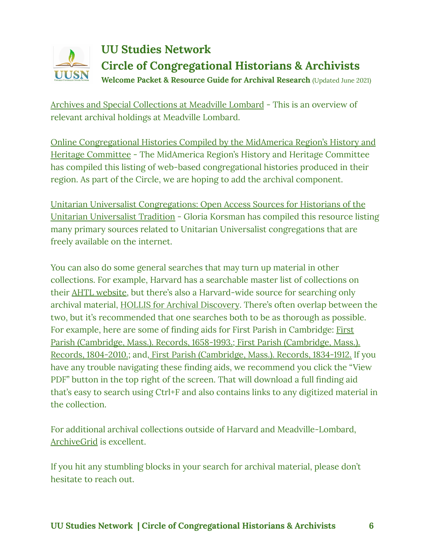#### **UU Studies Network Circle of Congregational Historians & Archivists** UUSN **Welcome Packet & Resource Guide for Archival Research** (Updated June 2021)

Archives and Special [Collections](https://meadville.libguides.com/archives_community) at Meadville Lombard - This is an overview of relevant archival holdings at Meadville Lombard.

Online [Congregational](https://meadville.libguides.com/onlinehistories/midamerica) Histories Compiled by the MidAmerica Region's History and Heritage [Committee](https://meadville.libguides.com/onlinehistories/midamerica) - The MidAmerica Region's History and Heritage Committee has compiled this listing of web-based congregational histories produced in their region. As part of the Circle, we are hoping to add the archival component.

Unitarian Universalist [Congregations: Open](https://guides.library.harvard.edu/hds/uu-congregations) Access Sources for Historians of the Unitarian [Universalist](https://guides.library.harvard.edu/hds/uu-congregations) Tradition - Gloria Korsman has compiled this resource listing many primary sources related to Unitarian Universalist congregations that are freely available on the internet.

You can also do some general searches that may turn up material in other collections. For example, Harvard has a searchable master list of collections on their AHTL [website,](https://library.hds.harvard.edu/collections/special-collections/manuscripts-archives) but there's also a Harvard-wide source for searching only archival material, HOLLIS for Archival [Discovery](https://hollisarchives.lib.harvard.edu/repositories/12). There's often overlap between the two, but it's recommended that one searches both to be as thorough as possible. For example, here are some of finding aids for First Parish in Cambridge: [First](https://hollisarchives.lib.harvard.edu/repositories/12/resources/865) Parish [\(Cambridge,](https://hollisarchives.lib.harvard.edu/repositories/12/resources/865) Mass.). Records, 1658-1993.; First Parish [\(Cambridge,](https://hollisarchives.lib.harvard.edu/repositories/12/resources/1012) Mass.). Records, [1804-2010.](https://hollisarchives.lib.harvard.edu/repositories/12/resources/1012); and, First Parish [\(Cambridge,](https://hollisarchives.lib.harvard.edu/repositories/12/resources/758) Mass.). Records, 1834-1912. If you have any trouble navigating these finding aids, we recommend you click the "View PDF" button in the top right of the screen. That will download a full finding aid that's easy to search using Ctrl+F and also contains links to any digitized material in the collection.

For additional archival collections outside of Harvard and Meadville-Lombard, [ArchiveGrid](https://researchworks.oclc.org/archivegrid/) is excellent.

If you hit any stumbling blocks in your search for archival material, please don't hesitate to reach out.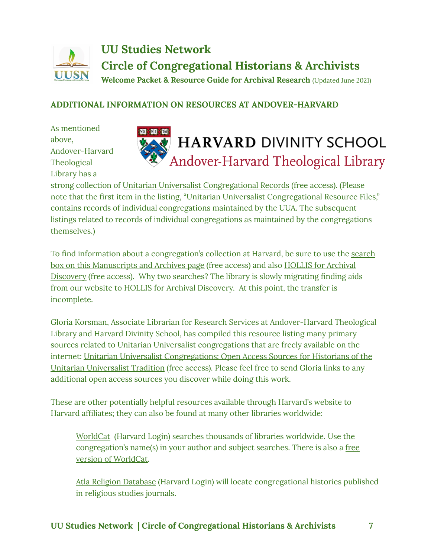### **UU Studies Network Circle of Congregational Historians & Archivists** UUSN **Welcome Packet & Resource Guide for Archival Research** (Updated June 2021)

## **ADDITIONAL INFORMATION ON RESOURCES AT ANDOVER-HARVARD**

As mentioned above, Andover-Harvard Theological Library has a



strong collection of Unitarian Universalist [Congregational](https://library.hds.harvard.edu/faq/unitarian-universalist-congregational-records) Records (free access). (Please note that the first item in the listing, "Unitarian Universalist Congregational Resource Files," contains records of individual congregations maintained by the UUA. The subsequent listings related to records of individual congregations as maintained by the congregations themselves.)

To find information about a congregation's collection at Harvard, be sure to use the [search](https://library.hds.harvard.edu/collections/special-collections/manuscripts-archives) box on this [Manuscripts](https://library.hds.harvard.edu/collections/special-collections/manuscripts-archives) and Archives page (free access) and also HOLLIS for [Archival](https://hollisarchives.lib.harvard.edu/search?reset=true) [Discovery](https://hollisarchives.lib.harvard.edu/search?reset=true) (free access). Why two searches? The library is slowly migrating finding aids from our website to HOLLIS for Archival Discovery. At this point, the transfer is incomplete.

Gloria Korsman, Associate Librarian for Research Services at Andover-Harvard Theological Library and Harvard Divinity School, has compiled this resource listing many primary sources related to Unitarian Universalist congregations that are freely available on the internet: Unitarian Universalist [Congregations:](https://guides.library.harvard.edu/hds/uu-congregations) Open Access Sources for Historians of the Unitarian [Universalist](https://guides.library.harvard.edu/hds/uu-congregations) Tradition (free access). Please feel free to send Gloria links to any additional open access sources you discover while doing this work.

These are other potentially helpful resources available through Harvard's website to Harvard affiliates; they can also be found at many other libraries worldwide:

[WorldCat](https://guides.library.harvard.edu/hds/uu-congregations) (Harvard Login) searches thousands of libraries worldwide. Use the congregation's name(s) in your author and subject searches. There is also a [free](https://www.worldcat.org/) version of [WorldCat.](https://www.worldcat.org/)

Atla Religion [Database](http://nrs.harvard.edu/urn-3:hul.eresource:religind) (Harvard Login) will locate congregational histories published in religious studies journals.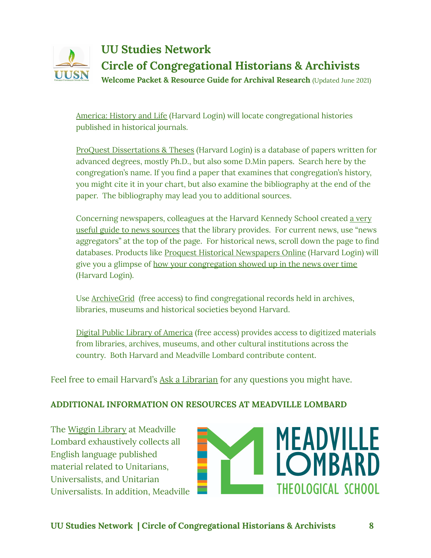

[America:](http://nrs.harvard.edu/urn-3:hul.eresource:amhislif) History and Life (Harvard Login) will locate congregational histories published in historical journals.

ProQuest [Dissertations](http://nrs.harvard.edu/urn-3:hul.eresource:dissabst) & Theses (Harvard Login) is a database of papers written for advanced degrees, mostly Ph.D., but also some D.Min papers. Search here by the congregation's name. If you find a paper that examines that congregation's history, you might cite it in your chart, but also examine the bibliography at the end of the paper. The bibliography may lead you to additional sources.

Concerning newspapers, colleagues at the Harvard Kennedy School created a [very](https://guides.library.harvard.edu/hks/news) useful guide to news [sources](https://guides.library.harvard.edu/hks/news) that the library provides. For current news, use "news aggregators" at the top of the page. For historical news, scroll down the page to find databases. Products like Proquest Historical [Newspapers](http://search.proquest.com.ezp-prod1.hul.harvard.edu/news/advanced?accountid=11311) Online (Harvard Login) will give you a glimpse of how your [congregation](http://search.proquest.com.ezp-prod1.hul.harvard.edu/search/1846303?accountid=11311) showed up in the news over time (Harvard Login).

Use [ArchiveGrid](https://researchworks.oclc.org/archivegrid/) (free access) to find congregational records held in archives, libraries, museums and historical societies beyond Harvard.

Digital Public Library of [America](https://dp.la/) (free access) provides access to digitized materials from libraries, archives, museums, and other cultural institutions across the country. Both Harvard and Meadville Lombard contribute content.

Feel free to email Harvard's Ask a [Librarian](https://asklib.hds.harvard.edu/) for any questions you might have.

### **ADDITIONAL INFORMATION ON RESOURCES AT MEADVILLE LOMBARD**

The Wiggin [Library](https://i-share-mls.primo.exlibrisgroup.com/discovery/search?vid=01CARLI_MLS:Community) at Meadville Lombard exhaustively collects all English language published material related to Unitarians, Universalists, and Unitarian Universalists. In addition, Meadville

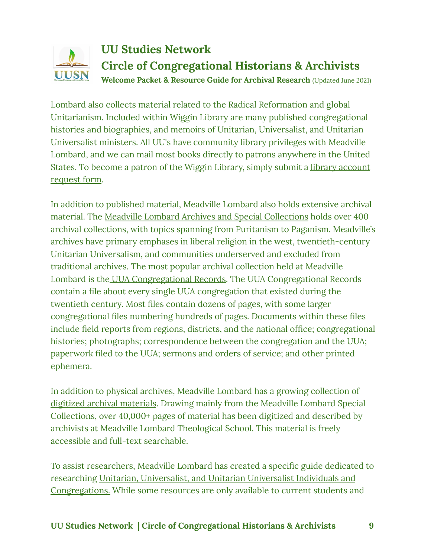#### **UU Studies Network Circle of Congregational Historians & Archivists** UUSN **Welcome Packet & Resource Guide for Archival Research** (Updated June 2021)

Lombard also collects material related to the Radical Reformation and global Unitarianism. Included within Wiggin Library are many published congregational histories and biographies, and memoirs of Unitarian, Universalist, and Unitarian Universalist ministers. All UU's have community library privileges with Meadville Lombard, and we can mail most books directly to patrons anywhere in the United States. To become a patron of the Wiggin Library, simply submit a library [account](https://forms.office.com/Pages/ResponsePage.aspx?id=2ya9-oZFSEmNnTq1alAEXIEyYpLwZ0tChHdpZanfoHtUMlJHM082UjdHNzhJWFBLMVIyT0wxMVBSWC4u) [request](https://forms.office.com/Pages/ResponsePage.aspx?id=2ya9-oZFSEmNnTq1alAEXIEyYpLwZ0tChHdpZanfoHtUMlJHM082UjdHNzhJWFBLMVIyT0wxMVBSWC4u) form.

In addition to published material, Meadville Lombard also holds extensive archival material. The Meadville Lombard Archives and Special [Collections](https://meadville.libguides.com/archives) holds over 400 archival collections, with topics spanning from Puritanism to Paganism. Meadville's archives have primary emphases in liberal religion in the west, twentieth-century Unitarian Universalism, and communities underserved and excluded from traditional archives. The most popular archival collection held at Meadville Lombard is the UUA [Congregational](https://meadville.libguides.com/archives/congregationalrecords) Records. The UUA Congregational Records contain a file about every single UUA congregation that existed during the twentieth century. Most files contain dozens of pages, with some larger congregational files numbering hundreds of pages. Documents within these files include field reports from regions, districts, and the national office; congregational histories; photographs; correspondence between the congregation and the UUA; paperwork filed to the UUA; sermons and orders of service; and other printed ephemera.

In addition to physical archives, Meadville Lombard has a growing collection of digitized archival [materials](https://meadville.libguides.com/archives/digital). Drawing mainly from the Meadville Lombard Special Collections, over 40,000+ pages of material has been digitized and described by archivists at Meadville Lombard Theological School. This material is freely accessible and full-text searchable.

To assist researchers, Meadville Lombard has created a specific guide dedicated to researching Unitarian, [Universalist,](https://meadville.libguides.com/uu_research) and Unitarian Universalist Individuals and [Congregations.](https://meadville.libguides.com/uu_research) While some resources are only available to current students and